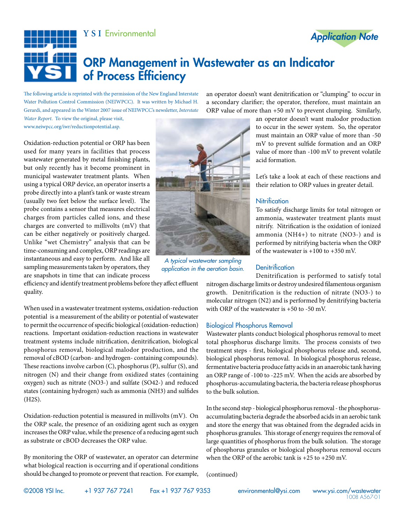



# ORP Management in Wastewater as an Indicator of Process Efficiency

The following article is reprinted with the permission of the New England Interstate Water Pollution Control Commission (NEIWPCC). It was written by Michael H. Gerardi, and appeared in the Winter 2007 issue of NEIWPCC's newsletter, *Interstate* 

*Water Report*. To view the original, please visit, www.neiwpcc.org/iwr/reductionpotential.asp.

Oxidation-reduction potential or ORP has been used for many years in facilities that process wastewater generated by metal finishing plants, but only recently has it become prominent in municipal wastewater treatment plants. When using a typical ORP device, an operator inserts a probe directly into a plant's tank or waste stream (usually two feet below the surface level). The probe contains a sensor that measures electrical charges from particles called ions, and these charges are converted to millivolts (mV) that can be either negatively or positively charged. Unlike "wet Chemistry" analysis that can be time-consuming and complex, ORP readings are instantaneous and easy to perform. And like all sampling measurements taken by operators, they are snapshots in time that can indicate process

*A typical wastewater sampling application in the aeration basin.* 

an operator doesn't want denitrification or "clumping" to occur in a secondary clarifier; the operator, therefore, must maintain an ORP value of more than +50 mV to prevent clumping. Similarly,

> an operator doesn't want malodor production to occur in the sewer system. So, the operator must maintain an ORP value of more than -50 mV to prevent sulfide formation and an ORP value of more than -100 mV to prevent volatile acid formation.

> Let's take a look at each of these reactions and their relation to ORP values in greater detail.

## **Nitrification**

To satisfy discharge limits for total nitrogen or ammonia, wastewater treatment plants must nitrify. Nitrification is the oxidation of ionized ammonia (NH4+) to nitrate (NO3-) and is performed by nitrifying bacteria when the ORP of the wastewater is +100 to +350 mV.

### **Denitrification**

Denitrification is performed to satisfy total nitrogen discharge limits or destroy undesired filamentous organism growth. Denitrification is the reduction of nitrate (NO3-) to molecular nitrogen (N2) and is performed by denitrifying bacteria with ORP of the wastewater is +50 to -50 mV.

#### Biological Phosphorus Removal

Wastewater plants conduct biological phosphorus removal to meet total phosphorus discharge limits. The process consists of two treatment steps - first, biological phosphorus release and, second, biological phosphorus removal. In biological phosphorus release, fermentative bacteria produce fatty acids in an anaerobic tank having an ORP range of -100 to -225 mV. When the acids are absorbed by phosphorus-accumulating bacteria, the bacteria release phosphorus to the bulk solution.

In the second step - biological phosphorus removal - the phosphorusaccumulating bacteria degrade the absorbed acids in an aerobic tank and store the energy that was obtained from the degraded acids in phosphorus granules. This storage of energy requires the removal of large quantities of phosphorus from the bulk solution. The storage of phosphorus granules or biological phosphorus removal occurs when the ORP of the aerobic tank is  $+25$  to  $+250$  mV.

(continued)

efficiency and identify treatment problems before they affect effluent quality.

When used in a wastewater treatment systems, oxidation-reduction potential is a measurement of the ability or potential of wastewater to permit the occurrence of specific biological (oxidation-reduction) reactions. Important oxidation-reduction reactions in wastewater treatment systems include nitrification, denitrification, biological phosphorus removal, biological malodor production, and the removal of cBOD (carbon- and hydrogen- containing compounds). These reactions involve carbon (C), phosphorus (P), sulfur (S), and nitrogen (N) and their change from oxidized states (containing oxygen) such as nitrate (NO3-) and sulfate (SO42-) and reduced states (containing hydrogen) such as ammonia (NH3) and sulfides (H2S).

Oxidation-reduction potential is measured in millivolts (mV). On the ORP scale, the presence of an oxidizing agent such as oxygen increases the ORP value, while the presence of a reducing agent such as substrate or cBOD decreases the ORP value.

By monitoring the ORP of wastewater, an operator can determine what biological reaction is occurring and if operational conditions should be changed to promote or prevent that reaction. For example,